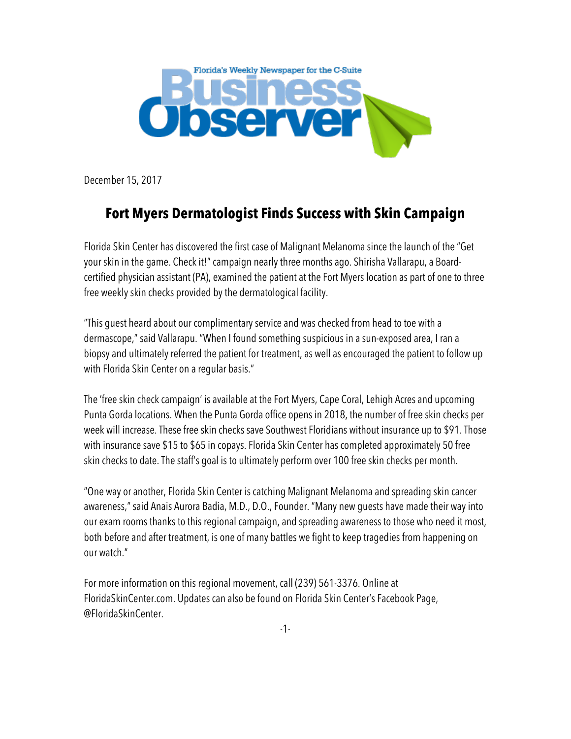

December 15, 2017

## **Fort Myers Dermatologist Finds Success with Skin Campaign**

Florida Skin Center has discovered the first case of Malignant Melanoma since the launch of the "Get your skin in the game. Check it!" campaign nearly three months ago. Shirisha Vallarapu, a Boardcertified physician assistant (PA), examined the patient at the Fort Myers location as part of one to three free weekly skin checks provided by the dermatological facility.

"This guest heard about our complimentary service and was checked from head to toe with a dermascope," said Vallarapu. "When I found something suspicious in a sun-exposed area, I ran a biopsy and ultimately referred the patient for treatment, as well as encouraged the patient to follow up with Florida Skin Center on a regular basis."

The 'free skin check campaign' is available at the Fort Myers, Cape Coral, Lehigh Acres and upcoming Punta Gorda locations. When the Punta Gorda office opens in 2018, the number of free skin checks per week will increase. These free skin checks save Southwest Floridians without insurance up to \$91. Those with insurance save \$15 to \$65 in copays. Florida Skin Center has completed approximately 50 free skin checks to date. The staff's goal is to ultimately perform over 100 free skin checks per month.

"One way or another, Florida Skin Center is catching Malignant Melanoma and spreading skin cancer awareness," said Anais Aurora Badia, M.D., D.O., Founder. "Many new guests have made their way into our exam rooms thanks to this regional campaign, and spreading awareness to those who need it most, both before and after treatment, is one of many battles we fight to keep tragedies from happening on our watch."

For more information on this regional movement, call (239) 561-3376. Online at FloridaSkinCenter.com. Updates can also be found on Florida Skin Center's Facebook Page, @FloridaSkinCenter.